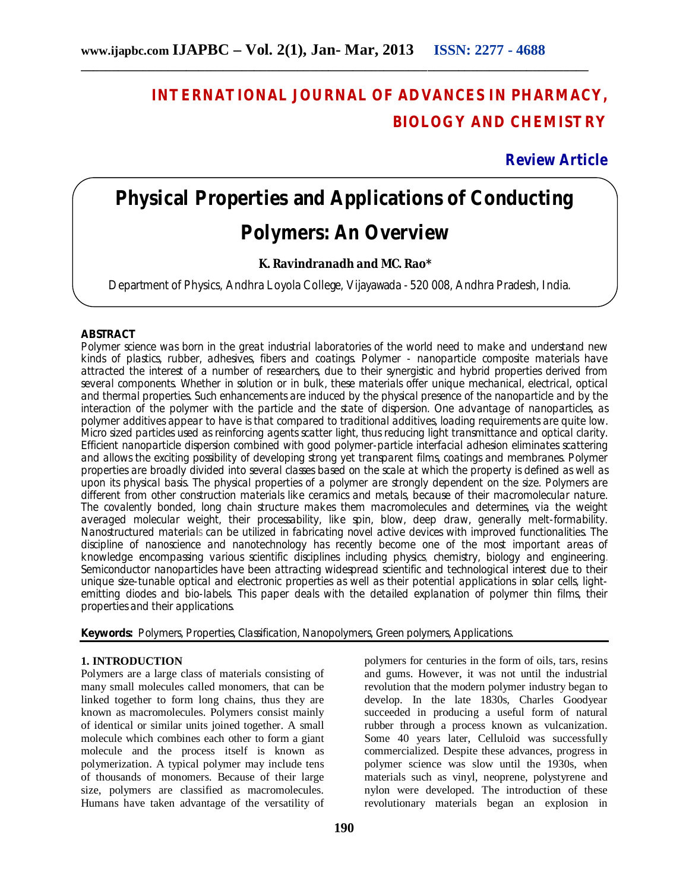# **INTERNATIONAL JOURNAL OF ADVANCES IN PHARMACY, BIOLOGY AND CHEMISTRY**

**Review Article**

# **Physical Properties and Applications of Conducting Polymers: An Overview**

**K. Ravindranadh and MC. Rao\***

Department of Physics, Andhra Loyola College, Vijayawada - 520 008, Andhra Pradesh, India.

# **ABSTRACT**

Polymer science was born in the great industrial laboratories of the world need to make and understand new kinds of plastics, rubber, adhesives, fibers and coatings. Polymer - nanoparticle composite materials have attracted the interest of a number of researchers, due to their synergistic and hybrid properties derived from several components. Whether in solution or in bulk, these materials offer unique mechanical, electrical, optical and thermal properties. Such enhancements are induced by the physical presence of the nanoparticle and by the interaction of the polymer with the particle and the state of dispersion. One advantage of nanoparticles, as polymer additives appear to have is that compared to traditional additives, loading requirements are quite low. Micro sized particles used as reinforcing agents scatter light, thus reducing light transmittance and optical clarity. Efficient nanoparticle dispersion combined with good polymer-particle interfacial adhesion eliminates scattering and allows the exciting possibility of developing strong yet transparent films, coatings and membranes. Polymer properties are broadly divided into several classes based on the scale at which the property is defined as well as upon its physical basis. The physical properties of a polymer are strongly dependent on the size. Polymers are different from other construction materials like ceramics and metals, because of their macromolecular nature. The covalently bonded, long chain structure makes them macromolecules and determines, via the weight averaged molecular weight, their processability, like spin, blow, deep draw, generally melt-formability. Nanostructured materials can be utilized in fabricating novel active devices with improved functionalities. The discipline of nanoscience and nanotechnology has recently become one of the most important areas of knowledge encompassing various scientific disciplines including physics, chemistry, biology and engineering. Semiconductor nanoparticles have been attracting widespread scientific and technological interest due to their unique size-tunable optical and electronic properties as well as their potential applications in solar cells, lightemitting diodes and bio-labels. This paper deals with the detailed explanation of polymer thin films, their properties and their applications.

**Keywords:** Polymers, Properties, Classification, Nanopolymers, Green polymers, Applications.

# **1. INTRODUCTION**

Polymers are a large class of materials consisting of many small molecules called monomers, that can be linked together to form long chains, thus they are known as macromolecules. Polymers consist mainly of identical or similar units joined together. A small molecule which combines each other to form a giant molecule and the process itself is known as polymerization. A typical polymer may include tens of thousands of monomers. Because of their large size, polymers are classified as macromolecules. Humans have taken advantage of the versatility of

polymers for centuries in the form of oils, tars, resins and gums. However, it was not until the industrial revolution that the modern polymer industry began to develop. In the late 1830s, Charles Goodyear succeeded in producing a useful form of natural rubber through a process known as vulcanization. Some 40 years later, Celluloid was successfully commercialized. Despite these advances, progress in polymer science was slow until the 1930s, when materials such as vinyl, neoprene, polystyrene and nylon were developed. The introduction of these revolutionary materials began an explosion in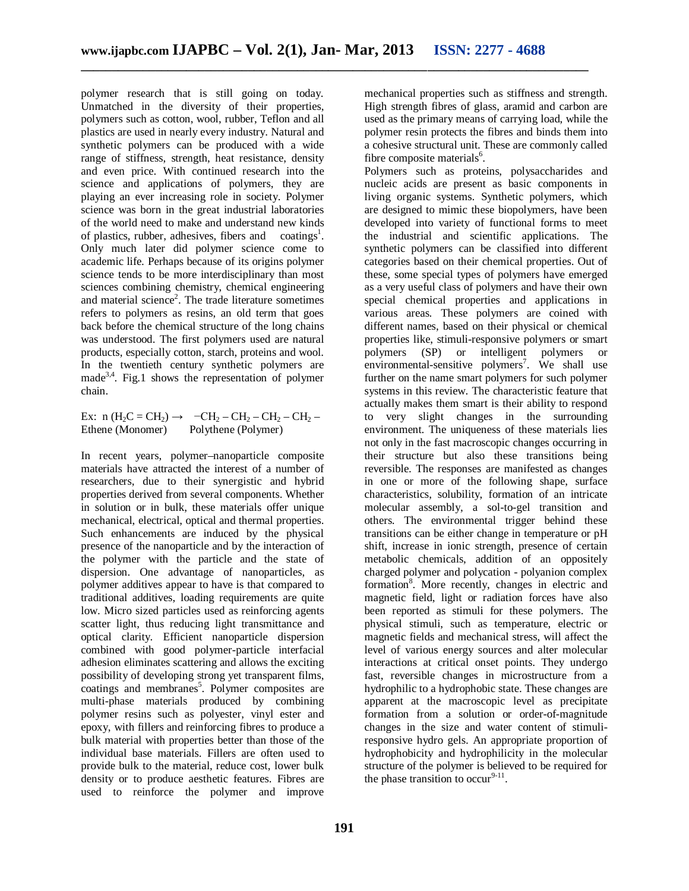polymer research that is still going on today. Unmatched in the diversity of their properties, polymers such as cotton, wool, rubber, Teflon and all plastics are used in nearly every industry. Natural and synthetic polymers can be produced with a wide range of stiffness, strength, heat resistance, density and even price. With continued research into the science and applications of polymers, they are playing an ever increasing role in society. Polymer science was born in the great industrial laboratories of the world need to make and understand new kinds of plastics, rubber, adhesives, fibers and coatings<sup>1</sup>. Only much later did polymer science come to academic life. Perhaps because of its origins polymer science tends to be more interdisciplinary than most sciences combining chemistry, chemical engineering and material science<sup>2</sup>. The trade literature sometimes refers to polymers as resins, an old term that goes back before the chemical structure of the long chains was understood. The first polymers used are natural products, especially cotton, starch, proteins and wool. In the twentieth century synthetic polymers are made<sup>3,4</sup>. Fig.1 shows the representation of polymer chain.

Ex: n  $(H_2C = CH_2) \rightarrow -CH_2 - CH_2 - CH_2 - CH_2 - CH_2 -$ <br>Ethene (Monomer) Polythene (Polymer) Polythene (Polymer)

In recent years, polymer–nanoparticle composite materials have attracted the interest of a number of researchers, due to their synergistic and hybrid properties derived from several components. Whether in solution or in bulk, these materials offer unique mechanical, electrical, optical and thermal properties. Such enhancements are induced by the physical presence of the nanoparticle and by the interaction of the polymer with the particle and the state of dispersion. One advantage of nanoparticles, as polymer additives appear to have is that compared to traditional additives, loading requirements are quite low. Micro sized particles used as reinforcing agents scatter light, thus reducing light transmittance and optical clarity. Efficient nanoparticle dispersion combined with good polymer-particle interfacial adhesion eliminates scattering and allows the exciting possibility of developing strong yet transparent films, coatings and membranes<sup>5</sup>. Polymer composites are multi-phase materials produced by combining polymer resins such as polyester, vinyl ester and epoxy, with fillers and reinforcing fibres to produce a bulk material with properties better than those of the individual base materials. Fillers are often used to provide bulk to the material, reduce cost, lower bulk density or to produce aesthetic features. Fibres are used to reinforce the polymer and improve

mechanical properties such as stiffness and strength. High strength fibres of glass, aramid and carbon are used as the primary means of carrying load, while the polymer resin protects the fibres and binds them into a cohesive structural unit. These are commonly called fibre composite materials<sup>6</sup>.

Polymers such as proteins, polysaccharides and nucleic acids are present as basic components in living organic systems. Synthetic polymers, which are designed to mimic these biopolymers, have been developed into variety of functional forms to meet the industrial and scientific applications. The synthetic polymers can be classified into different categories based on their chemical properties. Out of these, some special types of polymers have emerged as a very useful class of polymers and have their own special chemical properties and applications in various areas. These polymers are coined with different names, based on their physical or chemical properties like, stimuli-responsive polymers or smart polymers (SP) or intelligent polymers or environmental-sensitive polymers<sup>7</sup>. We shall use further on the name smart polymers for such polymer systems in this review. The characteristic feature that actually makes them smart is their ability to respond to very slight changes in the surrounding environment. The uniqueness of these materials lies not only in the fast macroscopic changes occurring in their structure but also these transitions being reversible. The responses are manifested as changes in one or more of the following shape, surface characteristics, solubility, formation of an intricate molecular assembly, a sol-to-gel transition and others. The environmental trigger behind these transitions can be either change in temperature or pH shift, increase in ionic strength, presence of certain metabolic chemicals, addition of an oppositely charged polymer and polycation - polyanion complex formation<sup>8</sup>. More recently, changes in electric and magnetic field, light or radiation forces have also been reported as stimuli for these polymers. The physical stimuli, such as temperature, electric or magnetic fields and mechanical stress, will affect the level of various energy sources and alter molecular interactions at critical onset points. They undergo fast, reversible changes in microstructure from a hydrophilic to a hydrophobic state. These changes are apparent at the macroscopic level as precipitate formation from a solution or order-of-magnitude changes in the size and water content of stimuliresponsive hydro gels. An appropriate proportion of hydrophobicity and hydrophilicity in the molecular structure of the polymer is believed to be required for the phase transition to occur<sup>9-11</sup>.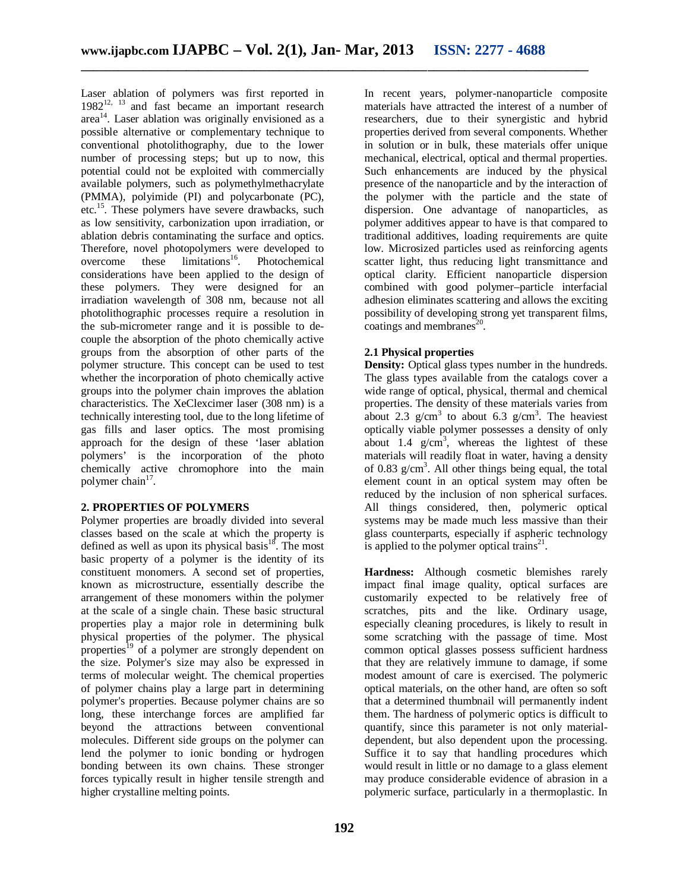Laser ablation of polymers was first reported in  $1982^{12}$ ,  $13$  and fast became an important research area<sup>14</sup>. Laser ablation was originally envisioned as a possible alternative or complementary technique to conventional photolithography, due to the lower number of processing steps; but up to now, this potential could not be exploited with commercially available polymers, such as polymethylmethacrylate (PMMA), polyimide (PI) and polycarbonate (PC), etc.<sup>15</sup>. These polymers have severe drawbacks, such as low sensitivity, carbonization upon irradiation, or ablation debris contaminating the surface and optics. Therefore, novel photopolymers were developed to<br>overcome these limitations<sup>16</sup>. Photochemical  $overcome$  these  $\text{limitations}^{16}$ . Photochemical considerations have been applied to the design of these polymers. They were designed for an irradiation wavelength of 308 nm, because not all photolithographic processes require a resolution in the sub-micrometer range and it is possible to decouple the absorption of the photo chemically active groups from the absorption of other parts of the polymer structure. This concept can be used to test whether the incorporation of photo chemically active groups into the polymer chain improves the ablation characteristics. The XeClexcimer laser (308 nm) is a technically interesting tool, due to the long lifetime of gas fills and laser optics. The most promising approach for the design of these 'laser ablation polymers' is the incorporation of the photo chemically active chromophore into the main polymer chain<sup>17</sup>.

# **2. PROPERTIES OF POLYMERS**

Polymer properties are broadly divided into several classes based on the scale at which the property is defined as well as upon its physical basis<sup>18</sup>. The most basic property of a polymer is the identity of its constituent monomers. A second set of properties, known as microstructure, essentially describe the arrangement of these monomers within the polymer at the scale of a single chain. These basic structural properties play a major role in determining bulk physical properties of the polymer. The physical properties<sup>19</sup> of a polymer are strongly dependent on the size. Polymer's size may also be expressed in terms of molecular weight. The chemical properties of polymer chains play a large part in determining polymer's properties. Because polymer chains are so long, these interchange forces are amplified far beyond the attractions between conventional molecules. Different side groups on the polymer can lend the polymer to ionic bonding or hydrogen bonding between its own chains. These stronger forces typically result in higher tensile strength and higher crystalline melting points.

In recent years, polymer-nanoparticle composite materials have attracted the interest of a number of researchers, due to their synergistic and hybrid properties derived from several components. Whether in solution or in bulk, these materials offer unique mechanical, electrical, optical and thermal properties. Such enhancements are induced by the physical presence of the nanoparticle and by the interaction of the polymer with the particle and the state of dispersion. One advantage of nanoparticles, as polymer additives appear to have is that compared to traditional additives, loading requirements are quite low. Microsized particles used as reinforcing agents scatter light, thus reducing light transmittance and optical clarity. Efficient nanoparticle dispersion combined with good polymer–particle interfacial adhesion eliminates scattering and allows the exciting possibility of developing strong yet transparent films, coatings and membranes $20$ .

# **2.1 Physical properties**

**Density:** Optical glass types number in the hundreds. The glass types available from the catalogs cover a wide range of optical, physical, thermal and chemical properties. The density of these materials varies from about 2.3  $g/cm<sup>3</sup>$  to about 6.3  $g/cm<sup>3</sup>$ . The heaviest optically viable polymer possesses a density of only about 1.4  $g/cm^3$ , whereas the lightest of these materials will readily float in water, having a density of 0.83  $g/cm<sup>3</sup>$ . All other things being equal, the total element count in an optical system may often be reduced by the inclusion of non spherical surfaces. All things considered, then, polymeric optical systems may be made much less massive than their glass counterparts, especially if aspheric technology is applied to the polymer optical trains<sup>21</sup>.

**Hardness:** Although cosmetic blemishes rarely impact final image quality, optical surfaces are customarily expected to be relatively free of scratches, pits and the like. Ordinary usage, especially cleaning procedures, is likely to result in some scratching with the passage of time. Most common optical glasses possess sufficient hardness that they are relatively immune to damage, if some modest amount of care is exercised. The polymeric optical materials, on the other hand, are often so soft that a determined thumbnail will permanently indent them. The hardness of polymeric optics is difficult to quantify, since this parameter is not only materialdependent, but also dependent upon the processing. Suffice it to say that handling procedures which would result in little or no damage to a glass element may produce considerable evidence of abrasion in a polymeric surface, particularly in a thermoplastic. In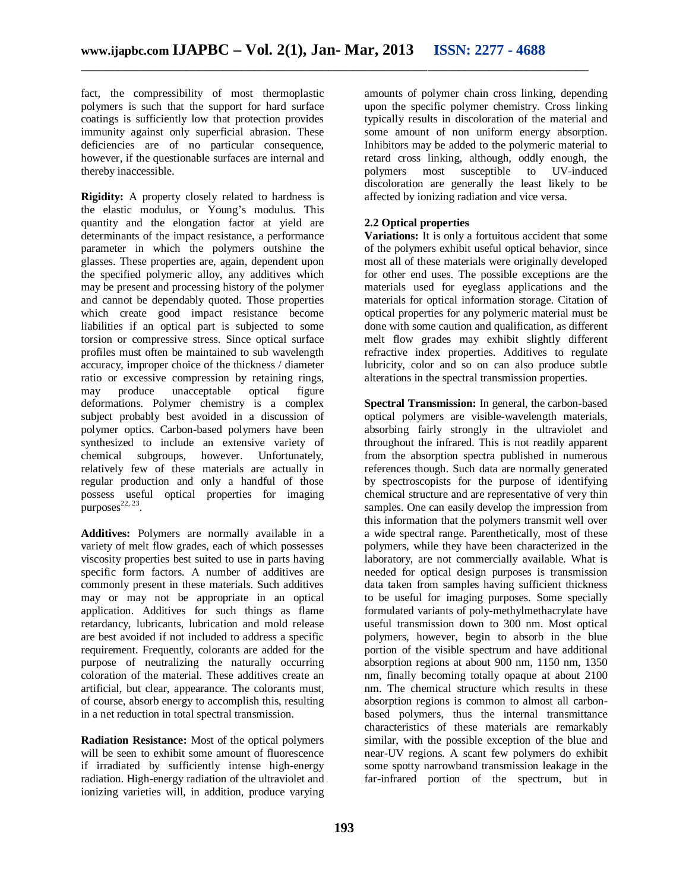fact, the compressibility of most thermoplastic polymers is such that the support for hard surface coatings is sufficiently low that protection provides immunity against only superficial abrasion. These deficiencies are of no particular consequence, however, if the questionable surfaces are internal and thereby inaccessible.

**Rigidity:** A property closely related to hardness is the elastic modulus, or Young's modulus. This quantity and the elongation factor at yield are determinants of the impact resistance, a performance parameter in which the polymers outshine the glasses. These properties are, again, dependent upon the specified polymeric alloy, any additives which may be present and processing history of the polymer and cannot be dependably quoted. Those properties which create good impact resistance become liabilities if an optical part is subjected to some torsion or compressive stress. Since optical surface profiles must often be maintained to sub wavelength accuracy, improper choice of the thickness / diameter ratio or excessive compression by retaining rings, may produce unacceptable optical figure deformations. Polymer chemistry is a complex subject probably best avoided in a discussion of polymer optics. Carbon-based polymers have been synthesized to include an extensive variety of chemical subgroups, however. Unfortunately, relatively few of these materials are actually in regular production and only a handful of those possess useful optical properties for imaging  $p$ urposes $^{22, 23}$ .

**Additives:** Polymers are normally available in a variety of melt flow grades, each of which possesses viscosity properties best suited to use in parts having specific form factors. A number of additives are commonly present in these materials. Such additives may or may not be appropriate in an optical application. Additives for such things as flame retardancy, lubricants, lubrication and mold release are best avoided if not included to address a specific requirement. Frequently, colorants are added for the purpose of neutralizing the naturally occurring coloration of the material. These additives create an artificial, but clear, appearance. The colorants must, of course, absorb energy to accomplish this, resulting in a net reduction in total spectral transmission.

**Radiation Resistance:** Most of the optical polymers will be seen to exhibit some amount of fluorescence if irradiated by sufficiently intense high-energy radiation. High-energy radiation of the ultraviolet and ionizing varieties will, in addition, produce varying

amounts of polymer chain cross linking, depending upon the specific polymer chemistry. Cross linking typically results in discoloration of the material and some amount of non uniform energy absorption. Inhibitors may be added to the polymeric material to retard cross linking, although, oddly enough, the polymers most susceptible to UV-induced discoloration are generally the least likely to be affected by ionizing radiation and vice versa.

# **2.2 Optical properties**

**Variations:** It is only a fortuitous accident that some of the polymers exhibit useful optical behavior, since most all of these materials were originally developed for other end uses. The possible exceptions are the materials used for eyeglass applications and the materials for optical information storage. Citation of optical properties for any polymeric material must be done with some caution and qualification, as different melt flow grades may exhibit slightly different refractive index properties. Additives to regulate lubricity, color and so on can also produce subtle alterations in the spectral transmission properties.

**Spectral Transmission:** In general, the carbon-based optical polymers are visible-wavelength materials, absorbing fairly strongly in the ultraviolet and throughout the infrared. This is not readily apparent from the absorption spectra published in numerous references though. Such data are normally generated by spectroscopists for the purpose of identifying chemical structure and are representative of very thin samples. One can easily develop the impression from this information that the polymers transmit well over a wide spectral range. Parenthetically, most of these polymers, while they have been characterized in the laboratory, are not commercially available. What is needed for optical design purposes is transmission data taken from samples having sufficient thickness to be useful for imaging purposes. Some specially formulated variants of poly-methylmethacrylate have useful transmission down to 300 nm. Most optical polymers, however, begin to absorb in the blue portion of the visible spectrum and have additional absorption regions at about 900 nm, 1150 nm, 1350 nm, finally becoming totally opaque at about 2100 nm. The chemical structure which results in these absorption regions is common to almost all carbonbased polymers, thus the internal transmittance characteristics of these materials are remarkably similar, with the possible exception of the blue and near-UV regions. A scant few polymers do exhibit some spotty narrowband transmission leakage in the far-infrared portion of the spectrum, but in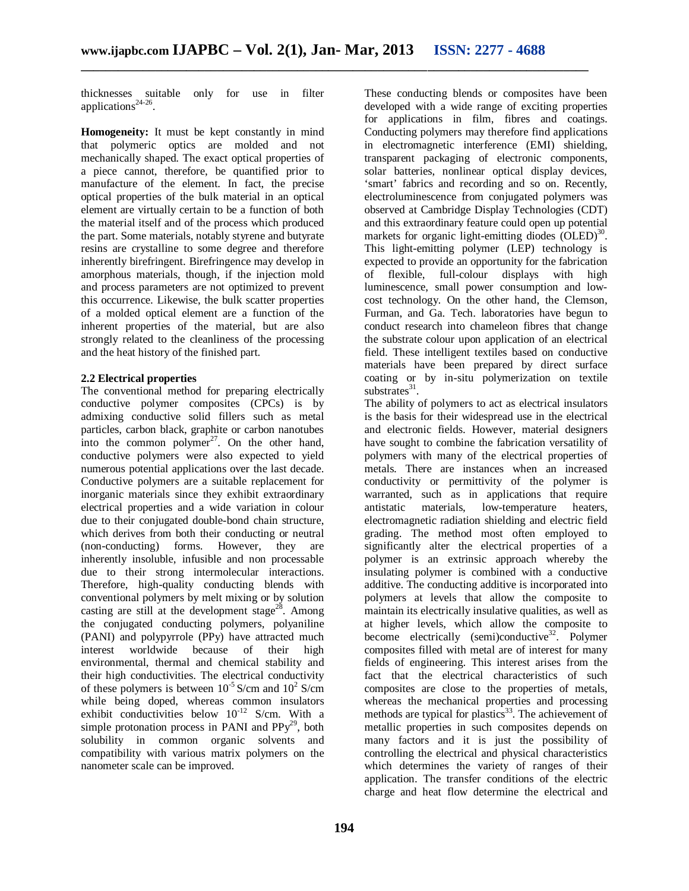thicknesses suitable only for use in filter applications<sup>24-26</sup>.

**Homogeneity:** It must be kept constantly in mind that polymeric optics are molded and not mechanically shaped. The exact optical properties of a piece cannot, therefore, be quantified prior to manufacture of the element. In fact, the precise optical properties of the bulk material in an optical element are virtually certain to be a function of both the material itself and of the process which produced the part. Some materials, notably styrene and butyrate resins are crystalline to some degree and therefore inherently birefringent. Birefringence may develop in amorphous materials, though, if the injection mold and process parameters are not optimized to prevent this occurrence. Likewise, the bulk scatter properties of a molded optical element are a function of the inherent properties of the material, but are also strongly related to the cleanliness of the processing and the heat history of the finished part.

#### **2.2 Electrical properties**

The conventional method for preparing electrically conductive polymer composites (CPCs) is by admixing conductive solid fillers such as metal particles, carbon black, graphite or carbon nanotubes into the common polymer<sup>27</sup>. On the other hand, conductive polymers were also expected to yield numerous potential applications over the last decade. Conductive polymers are a suitable replacement for inorganic materials since they exhibit extraordinary electrical properties and a wide variation in colour due to their conjugated double-bond chain structure, which derives from both their conducting or neutral (non-conducting) forms. However, they are inherently insoluble, infusible and non processable due to their strong intermolecular interactions. Therefore, high-quality conducting blends with conventional polymers by melt mixing or by solution casting are still at the development stage<sup>28</sup>. Among the conjugated conducting polymers, polyaniline (PANI) and polypyrrole (PPy) have attracted much<br>interest worldwide because of their high interest worldwide because of their high environmental, thermal and chemical stability and their high conductivities. The electrical conductivity of these polymers is between  $10^{-5}$  S/cm and  $10^2$  S/cm while being doped, whereas common insulators exhibit conductivities below  $10^{-12}$  S/cm. With a simple protonation process in PANI and  $PPy^{29}$ , both solubility in common organic solvents and compatibility with various matrix polymers on the nanometer scale can be improved.

These conducting blends or composites have been developed with a wide range of exciting properties for applications in film, fibres and coatings. Conducting polymers may therefore find applications in electromagnetic interference (EMI) shielding, transparent packaging of electronic components, solar batteries, nonlinear optical display devices, 'smart' fabrics and recording and so on. Recently, electroluminescence from conjugated polymers was observed at Cambridge Display Technologies (CDT) and this extraordinary feature could open up potential markets for organic light-emitting diodes (OLED)<sup>30</sup>. This light-emitting polymer (LEP) technology is expected to provide an opportunity for the fabrication of flexible, full-colour displays with high luminescence, small power consumption and lowcost technology. On the other hand, the Clemson, Furman, and Ga. Tech. laboratories have begun to conduct research into chameleon fibres that change the substrate colour upon application of an electrical field. These intelligent textiles based on conductive materials have been prepared by direct surface coating or by in-situ polymerization on textile substrates $^{31}$ .

The ability of polymers to act as electrical insulators is the basis for their widespread use in the electrical and electronic fields. However, material designers have sought to combine the fabrication versatility of polymers with many of the electrical properties of metals. There are instances when an increased conductivity or permittivity of the polymer is warranted, such as in applications that require antistatic materials, low-temperature heaters, electromagnetic radiation shielding and electric field grading. The method most often employed to significantly alter the electrical properties of a polymer is an extrinsic approach whereby the insulating polymer is combined with a conductive additive. The conducting additive is incorporated into polymers at levels that allow the composite to maintain its electrically insulative qualities, as well as at higher levels, which allow the composite to become electrically (semi)conductive<sup>32</sup>. Polymer composites filled with metal are of interest for many fields of engineering. This interest arises from the fact that the electrical characteristics of such composites are close to the properties of metals, whereas the mechanical properties and processing methods are typical for plastics<sup>33</sup>. The achievement of metallic properties in such composites depends on many factors and it is just the possibility of controlling the electrical and physical characteristics which determines the variety of ranges of their application. The transfer conditions of the electric charge and heat flow determine the electrical and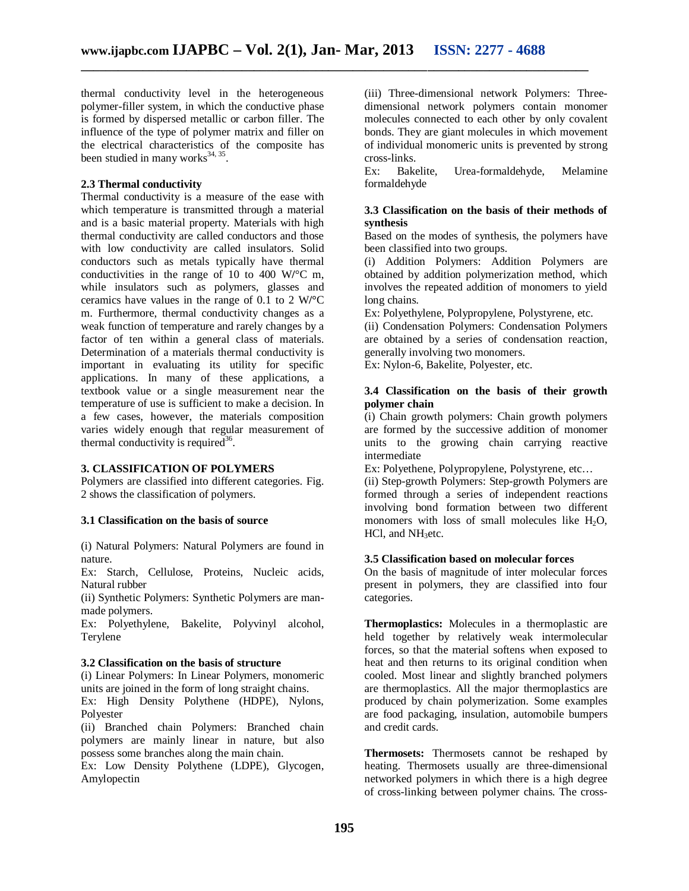thermal conductivity level in the heterogeneous polymer-filler system, in which the conductive phase is formed by dispersed metallic or carbon filler. The influence of the type of polymer matrix and filler on the electrical characteristics of the composite has been studied in many works $^{34, 35}$ .

#### **2.3 Thermal conductivity**

Thermal conductivity is a measure of the ease with which temperature is transmitted through a material and is a basic material property. Materials with high thermal conductivity are called conductors and those with low conductivity are called insulators. Solid conductors such as metals typically have thermal conductivities in the range of 10 to 400 W**/**°C m, while insulators such as polymers, glasses and ceramics have values in the range of 0.1 to 2 W**/°**C m. Furthermore, thermal conductivity changes as a weak function of temperature and rarely changes by a factor of ten within a general class of materials. Determination of a materials thermal conductivity is important in evaluating its utility for specific applications. In many of these applications, a textbook value or a single measurement near the temperature of use is sufficient to make a decision. In a few cases, however, the materials composition varies widely enough that regular measurement of thermal conductivity is required<sup>36</sup>.

#### **3. CLASSIFICATION OF POLYMERS**

Polymers are classified into different categories. Fig. 2 shows the classification of polymers.

#### **3.1 Classification on the basis of source**

(i) Natural Polymers: Natural Polymers are found in nature.

Ex: Starch, Cellulose, Proteins, Nucleic acids, Natural rubber

(ii) Synthetic Polymers: Synthetic Polymers are manmade polymers.

Ex: Polyethylene, Bakelite, Polyvinyl alcohol, Terylene

#### **3.2 Classification on the basis of structure**

(i) Linear Polymers: In Linear Polymers, monomeric units are joined in the form of long straight chains.

Ex: High Density Polythene (HDPE), Nylons, Polyester

(ii) Branched chain Polymers: Branched chain polymers are mainly linear in nature, but also possess some branches along the main chain.

Ex: Low Density Polythene (LDPE), Glycogen, Amylopectin

(iii) Three-dimensional network Polymers: Threedimensional network polymers contain monomer molecules connected to each other by only covalent bonds. They are giant molecules in which movement of individual monomeric units is prevented by strong cross-links.

Ex: Bakelite, Urea-formaldehyde, Melamine formaldehyde

#### **3.3 Classification on the basis of their methods of synthesis**

Based on the modes of synthesis, the polymers have been classified into two groups.

(i) Addition Polymers: Addition Polymers are obtained by addition polymerization method, which involves the repeated addition of monomers to yield long chains.

Ex: Polyethylene, Polypropylene, Polystyrene, etc.

(ii) Condensation Polymers: Condensation Polymers are obtained by a series of condensation reaction, generally involving two monomers.

Ex: Nylon-6, Bakelite, Polyester, etc.

#### **3.4 Classification on the basis of their growth polymer chain**

(i) Chain growth polymers: Chain growth polymers are formed by the successive addition of monomer units to the growing chain carrying reactive intermediate

Ex: Polyethene, Polypropylene, Polystyrene, etc…

(ii) Step-growth Polymers: Step-growth Polymers are formed through a series of independent reactions involving bond formation between two different monomers with loss of small molecules like  $H_2O$ , HCl, and NH<sub>3</sub>etc.

#### **3.5 Classification based on molecular forces**

On the basis of magnitude of inter molecular forces present in polymers, they are classified into four categories.

**Thermoplastics:** Molecules in a thermoplastic are held together by relatively weak intermolecular forces, so that the material softens when exposed to heat and then returns to its original condition when cooled. Most linear and slightly branched polymers are thermoplastics. All the major thermoplastics are produced by chain polymerization. Some examples are food packaging, insulation, automobile bumpers and credit cards.

**Thermosets:** Thermosets cannot be reshaped by heating. Thermosets usually are three-dimensional networked polymers in which there is a high degree of cross-linking between polymer chains. The cross-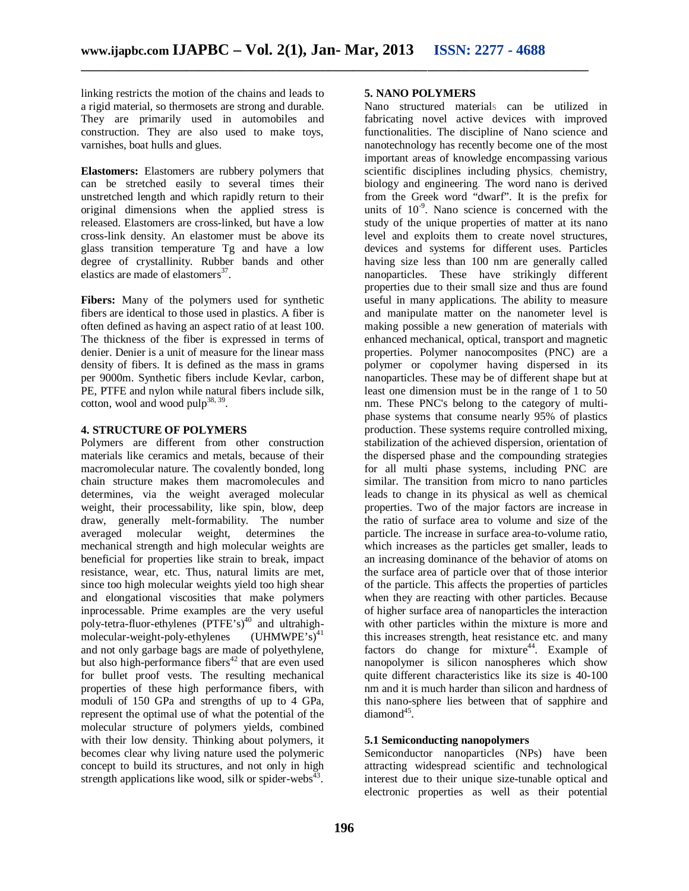linking restricts the motion of the chains and leads to a rigid material, so thermosets are strong and durable. They are primarily used in automobiles and construction. They are also used to make toys, varnishes, boat hulls and glues.

**Elastomers:** Elastomers are rubbery polymers that can be stretched easily to several times their unstretched length and which rapidly return to their original dimensions when the applied stress is released. Elastomers are cross-linked, but have a low cross-link density. An elastomer must be above its glass transition temperature Tg and have a low degree of crystallinity. Rubber bands and other elastics are made of elastomers<sup>37</sup>.

**Fibers:** Many of the polymers used for synthetic fibers are identical to those used in plastics. A fiber is often defined as having an aspect ratio of at least 100. The thickness of the fiber is expressed in terms of denier. Denier is a unit of measure for the linear mass density of fibers. It is defined as the mass in grams per 9000m. Synthetic fibers include Kevlar, carbon, PE, PTFE and nylon while natural fibers include silk, cotton, wool and wood  $\text{pulp}^{38, 39}$ .

#### **4. STRUCTURE OF POLYMERS**

Polymers are different from other construction materials like ceramics and metals, because of their macromolecular nature. The covalently bonded, long chain structure makes them macromolecules and determines, via the weight averaged molecular weight, their processability, like spin, blow, deep draw, generally melt-formability. The number averaged molecular weight, determines the mechanical strength and high molecular weights are beneficial for properties like strain to break, impact resistance, wear, etc. Thus, natural limits are met, since too high molecular weights yield too high shear and elongational viscosities that make polymers inprocessable. Prime examples are the very useful poly-tetra-fluor-ethylenes (PTFE's)<sup>40</sup> and ultrahigh-<br>molecular-weight-poly-ethylenes (UHMWPE's)<sup>41</sup> molecular-weight-poly-ethylenes and not only garbage bags are made of polyethylene, but also high-performance fibers $42$  that are even used for bullet proof vests. The resulting mechanical properties of these high performance fibers, with moduli of 150 GPa and strengths of up to 4 GPa, represent the optimal use of what the potential of the molecular structure of polymers yields, combined with their low density. Thinking about polymers, it becomes clear why living nature used the polymeric concept to build its structures, and not only in high strength applications like wood, silk or spider-webs<sup>43</sup>.

#### **5. NANO POLYMERS**

Nano structured materials can be utilized in fabricating novel active devices with improved functionalities. The discipline of Nano science and nanotechnology has recently become one of the most important areas of knowledge encompassing various scientific disciplines including physics, chemistry, biology and engineering. The word nano is derived from the Greek word "dwarf". It is the prefix for units of  $10^{-9}$ . Nano science is concerned with the study of the unique properties of matter at its nano level and exploits them to create novel structures, devices and systems for different uses. Particles having size less than 100 nm are generally called nanoparticles. These have strikingly different properties due to their small size and thus are found useful in many applications. The ability to measure and manipulate matter on the nanometer level is making possible a new generation of materials with enhanced mechanical, optical, transport and magnetic properties. Polymer nanocomposites (PNC) are a polymer or copolymer having dispersed in its nanoparticles. These may be of different shape but at least one dimension must be in the range of 1 to 50 nm. These PNC's belong to the category of multiphase systems that consume nearly 95% of plastics production. These systems require controlled mixing, stabilization of the achieved dispersion, orientation of the dispersed phase and the compounding strategies for all multi phase systems, including PNC are similar. The transition from micro to nano particles leads to change in its physical as well as chemical properties. Two of the major factors are increase in the ratio of surface area to volume and size of the particle. The increase in surface area-to-volume ratio, which increases as the particles get smaller, leads to an increasing dominance of the behavior of atoms on the surface area of particle over that of those interior of the particle. This affects the properties of particles when they are reacting with other particles. Because of higher surface area of nanoparticles the interaction with other particles within the mixture is more and this increases strength, heat resistance etc. and many factors do change for mixture $44$ . Example of nanopolymer is silicon nanospheres which show quite different characteristics like its size is 40-100 nm and it is much harder than silicon and hardness of this nano-sphere lies between that of sapphire and  $diamond<sup>45</sup>$ .

#### **5.1 Semiconducting nanopolymers**

Semiconductor nanoparticles (NPs) have been attracting widespread scientific and technological interest due to their unique size-tunable optical and electronic properties as well as their potential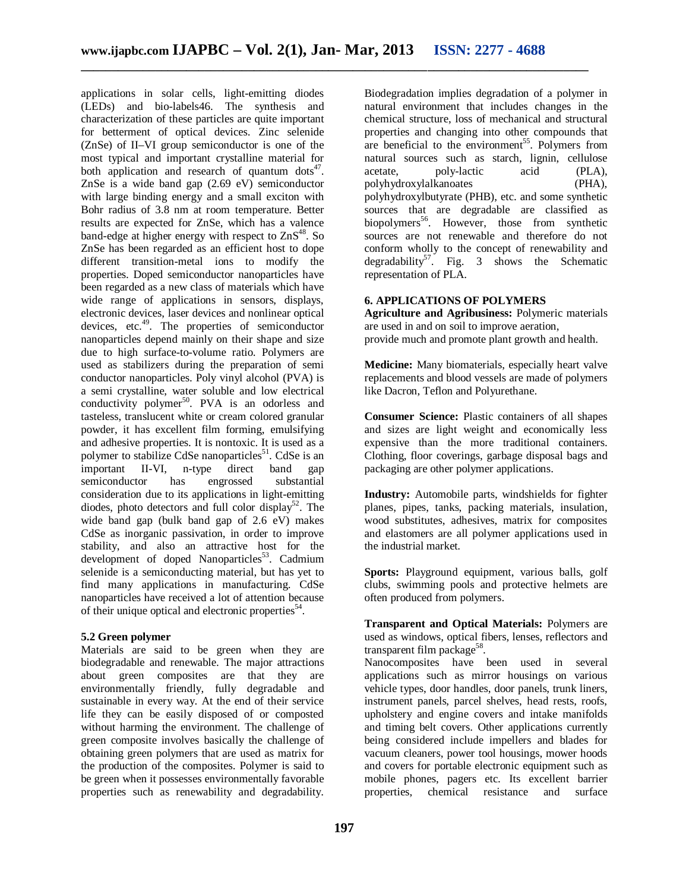applications in solar cells, light-emitting diodes (LEDs) and bio-labels46. The synthesis and characterization of these particles are quite important for betterment of optical devices. Zinc selenide (ZnSe) of II–VI group semiconductor is one of the most typical and important crystalline material for both application and research of quantum  $dots^{47}$ . ZnSe is a wide band gap (2.69 eV) semiconductor with large binding energy and a small exciton with Bohr radius of 3.8 nm at room temperature. Better results are expected for ZnSe, which has a valence band-edge at higher energy with respect to ZnS<sup>48</sup>. So ZnSe has been regarded as an efficient host to dope different transition-metal ions to modify the properties. Doped semiconductor nanoparticles have been regarded as a new class of materials which have wide range of applications in sensors, displays, electronic devices, laser devices and nonlinear optical devices, etc.<sup>49</sup>. The properties of semiconductor nanoparticles depend mainly on their shape and size due to high surface-to-volume ratio. Polymers are used as stabilizers during the preparation of semi conductor nanoparticles. Poly vinyl alcohol (PVA) is a semi crystalline, water soluble and low electrical conductivity polymer<sup>50</sup>. PVA is an odorless and tasteless, translucent white or cream colored granular powder, it has excellent film forming, emulsifying and adhesive properties. It is nontoxic. It is used as a polymer to stabilize CdSe nanoparticles<sup>51</sup>. CdSe is an important II-VI, n-type direct band gap semiconductor has engrossed substantial consideration due to its applications in light-emitting diodes, photo detectors and full color display<sup>52</sup>. The wide band gap (bulk band gap of 2.6 eV) makes CdSe as inorganic passivation, in order to improve stability, and also an attractive host for the development of doped Nanoparticles<sup>53</sup>. Cadmium selenide is a semiconducting material, but has yet to find many applications in manufacturing. CdSe nanoparticles have received a lot of attention because of their unique optical and electronic properties<sup>54</sup>.

#### **5.2 Green polymer**

Materials are said to be green when they are biodegradable and renewable. The major attractions about green composites are that they are environmentally friendly, fully degradable and sustainable in every way. At the end of their service life they can be easily disposed of or composted without harming the environment. The challenge of green composite involves basically the challenge of obtaining green polymers that are used as matrix for the production of the composites. Polymer is said to be green when it possesses environmentally favorable properties such as renewability and degradability.

Biodegradation implies degradation of a polymer in natural environment that includes changes in the chemical structure, loss of mechanical and structural properties and changing into other compounds that are beneficial to the environment<sup>55</sup>. Polymers from natural sources such as starch, lignin, cellulose acetate, poly-lactic acid (PLA), polyhydroxylalkanoates (PHA), polyhydroxylbutyrate (PHB), etc. and some synthetic sources that are degradable are classified as biopolymers<sup>56</sup>. However, those from synthetic sources are not renewable and therefore do not conform wholly to the concept of renewability and degradability<sup>57</sup>. Fig. 3 shows the Schematic representation of PLA.

#### **6. APPLICATIONS OF POLYMERS**

**Agriculture and Agribusiness:** Polymeric materials are used in and on soil to improve aeration, provide much and promote plant growth and health.

**Medicine:** Many biomaterials, especially heart valve replacements and blood vessels are made of polymers like Dacron, Teflon and Polyurethane.

**Consumer Science:** Plastic containers of all shapes and sizes are light weight and economically less expensive than the more traditional containers. Clothing, floor coverings, garbage disposal bags and packaging are other polymer applications.

**Industry:** Automobile parts, windshields for fighter planes, pipes, tanks, packing materials, insulation, wood substitutes, adhesives, matrix for composites and elastomers are all polymer applications used in the industrial market.

**Sports:** Playground equipment, various balls, golf clubs, swimming pools and protective helmets are often produced from polymers.

**Transparent and Optical Materials:** Polymers are used as windows, optical fibers, lenses, reflectors and transparent film package<sup>58</sup>.

Nanocomposites have been used in several applications such as mirror housings on various vehicle types, door handles, door panels, trunk liners, instrument panels, parcel shelves, head rests, roofs, upholstery and engine covers and intake manifolds and timing belt covers. Other applications currently being considered include impellers and blades for vacuum cleaners, power tool housings, mower hoods and covers for portable electronic equipment such as mobile phones, pagers etc. Its excellent barrier<br>properties, chemical resistance and surface properties, chemical resistance and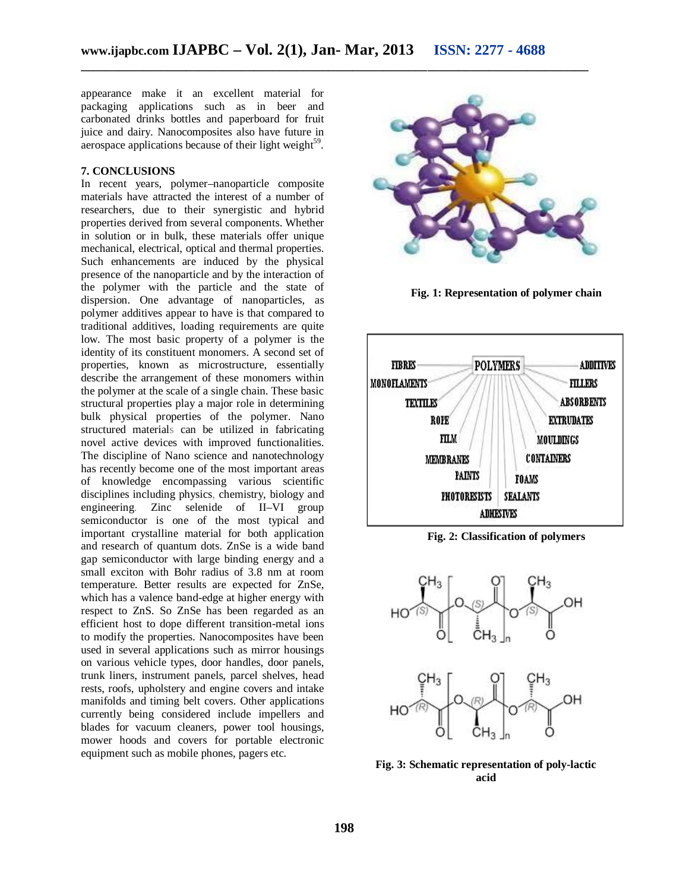appearance make it an excellent material for packaging applications such as in beer and carbonated drinks bottles and paperboard for fruit juice and dairy. Nanocomposites also have future in aerospace applications because of their light weight $^{59}$ .

#### **7. CONCLUSIONS**

In recent years, polymer–nanoparticle composite materials have attracted the interest of a number of researchers, due to their synergistic and hybrid properties derived from several components. Whether in solution or in bulk, these materials offer unique mechanical, electrical, optical and thermal properties. Such enhancements are induced by the physical presence of the nanoparticle and by the interaction of the polymer with the particle and the state of dispersion. One advantage of nanoparticles, as polymer additives appear to have is that compared to traditional additives, loading requirements are quite low. The most basic property of a polymer is the identity of its constituent monomers. A second set of properties, known as microstructure, essentially describe the arrangement of these monomers within the polymer at the scale of a single chain. These basic structural properties play a major role in determining bulk physical properties of the polymer. Nano structured materials can be utilized in fabricating novel active devices with improved functionalities. The discipline of Nano science and nanotechnology has recently become one of the most important areas of knowledge encompassing various scientific disciplines including physics, chemistry, biology and engineering. Zinc selenide of II–VI group semiconductor is one of the most typical and important crystalline material for both application and research of quantum dots. ZnSe is a wide band gap semiconductor with large binding energy and a small exciton with Bohr radius of 3.8 nm at room temperature. Better results are expected for ZnSe, which has a valence band-edge at higher energy with respect to ZnS. So ZnSe has been regarded as an efficient host to dope different transition-metal ions to modify the properties. Nanocomposites have been used in several applications such as mirror housings on various vehicle types, door handles, door panels, trunk liners, instrument panels, parcel shelves, head rests, roofs, upholstery and engine covers and intake manifolds and timing belt covers. Other applications currently being considered include impellers and blades for vacuum cleaners, power tool housings, mower hoods and covers for portable electronic equipment such as mobile phones, pagers etc.



**Fig. 1: Representation of polymer chain**







**Fig. 3: Schematic representation of poly-lactic acid**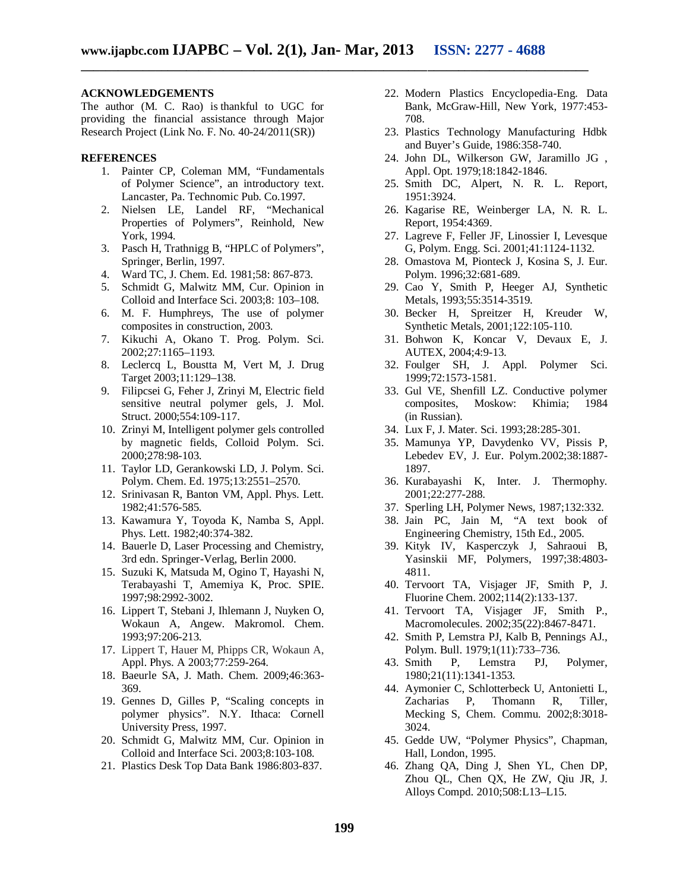#### **ACKNOWLEDGEMENTS**

The author (M. C. Rao) is thankful to UGC for providing the financial assistance through Major Research Project (Link No. F. No. 40-24/2011(SR))

#### **REFERENCES**

- 1. Painter CP, Coleman MM, "Fundamentals of Polymer Science", an introductory text. Lancaster, Pa. Technomic Pub. Co.1997.
- 2. Nielsen LE, Landel RF, "Mechanical Properties of Polymers", Reinhold, New York, 1994.
- 3. Pasch H, Trathnigg B, "HPLC of Polymers", Springer, Berlin, 1997.
- 4. Ward TC, J. Chem. Ed. 1981;58: 867-873.
- 5. Schmidt G, Malwitz MM, Cur. Opinion in Colloid and Interface Sci. 2003;8: 103–108.
- 6. M. F. Humphreys, The use of polymer composites in construction, 2003.
- 7. Kikuchi A, Okano T. Prog. Polym. Sci. 2002;27:1165–1193.
- 8. Leclercq L, Boustta M, Vert M, J. Drug Target 2003;11:129–138.
- 9. Filipcsei G, Feher J, Zrinyi M, Electric field sensitive neutral polymer gels, J. Mol. Struct. 2000;554:109-117.
- 10. Zrinyi M, Intelligent polymer gels controlled by magnetic fields, Colloid Polym. Sci. 2000;278:98-103.
- 11. Taylor LD, Gerankowski LD, J. Polym. Sci. Polym. Chem. Ed. 1975;13:2551–2570.
- 12. Srinivasan R, Banton VM, Appl. Phys. Lett. 1982;41:576-585.
- 13. Kawamura Y, Toyoda K, Namba S, Appl. Phys. Lett. 1982;40:374-382.
- 14. Bauerle D, Laser Processing and Chemistry, 3rd edn. Springer-Verlag, Berlin 2000.
- 15. Suzuki K, Matsuda M, Ogino T, Hayashi N, Terabayashi T, Amemiya K, Proc. SPIE. 1997;98:2992-3002.
- 16. Lippert T, Stebani J, Ihlemann J, Nuyken O, Wokaun A, Angew. Makromol. Chem. 1993;97:206-213.
- 17. Lippert T, Hauer M, Phipps CR, Wokaun A, Appl. Phys. A 2003;77:259-264.
- 18. Baeurle SA, J. Math. Chem. 2009;46:363- 369.
- 19. Gennes D, Gilles P, "Scaling concepts in polymer physics". N.Y. Ithaca: Cornell University Press, 1997.
- 20. Schmidt G, Malwitz MM, Cur. Opinion in Colloid and Interface Sci. 2003;8:103-108.
- 21. Plastics Desk Top Data Bank 1986:803-837.
- 22. Modern Plastics Encyclopedia-Eng. Data Bank, McGraw-Hill, New York, 1977:453- 708.
- 23. Plastics Technology Manufacturing Hdbk and Buyer's Guide, 1986:358-740.
- 24. John DL, Wilkerson GW, Jaramillo JG , Appl. Opt. 1979;18:1842-1846.
- 25. Smith DC, Alpert, N. R. L. Report, 1951:3924.
- 26. Kagarise RE, Weinberger LA, N. R. L. Report, 1954:4369.
- 27. Lagreve F, Feller JF, Linossier I, Levesque G, Polym. Engg. Sci. 2001;41:1124-1132.
- 28. Omastova M, Pionteck J, Kosina S, J. Eur. Polym. 1996;32:681-689.
- 29. Cao Y, Smith P, Heeger AJ, Synthetic Metals, 1993;55:3514-3519.
- 30. Becker H, Spreitzer H, Kreuder W, Synthetic Metals, 2001;122:105-110.
- 31. Bohwon K, Koncar V, Devaux E, J. AUTEX, 2004;4:9-13.
- 32. Foulger SH, J. Appl. Polymer Sci. 1999;72:1573-1581.
- 33. Gul VE, Shenfill LZ. Conductive polymer composites, Moskow: Khimia; 1984 (in Russian).
- 34. Lux F, J. Mater. Sci. 1993;28:285-301.
- 35. Mamunya YP, Davydenko VV, Pissis P, Lebedev EV, J. Eur. Polym.2002;38:1887- 1897.
- 36. Kurabayashi K, Inter. J. Thermophy. 2001;22:277-288.
- 37. Sperling LH, Polymer News, 1987;132:332.
- 38. Jain PC, Jain M, "A text book of Engineering Chemistry, 15th Ed., 2005.
- 39. Kityk IV, Kasperczyk J, Sahraoui B, Yasinskii MF, Polymers, 1997;38:4803- 4811.
- 40. Tervoort TA, Visjager JF, Smith P, J. Fluorine Chem. 2002;114(2):133-137.
- 41. Tervoort TA, Visjager JF, Smith P., Macromolecules. 2002;35(22):8467-8471.
- 42. Smith P, Lemstra PJ, Kalb B, Pennings AJ., Polym. Bull. 1979;1(11):733–736.
- 43. Smith P, Lemstra PJ, Polymer, 1980;21(11):1341-1353.
- 44. Aymonier C, Schlotterbeck U, Antonietti L, Zacharias P, Thomann R, Tiller, Mecking S, Chem. Commu. 2002;8:3018- 3024.
- 45. Gedde UW, "Polymer Physics", Chapman, Hall, London, 1995.
- 46. Zhang QA, Ding J, Shen YL, Chen DP, Zhou QL, Chen QX, He ZW, Qiu JR, J. Alloys Compd. 2010;508:L13–L15.